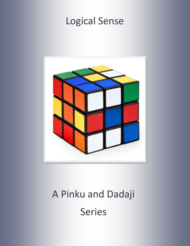# Logical Sense



# A Pinku and Dadaji Series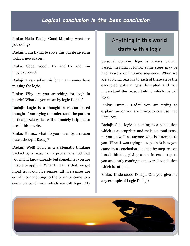## *Logical conclusion is the best conclusion*

Pinku: Hello Dadaji Good Morning what are you doing?

Dadaji: I am trying to solve this puzzle given in today's newspaper.

Pinku: Good…Good… try and try and you might succeed.

Dadaji: I can solve this but I am somewhere missing the logic.

Pinku: Why are you searching for logic in puzzle? What do you mean by logic Dadaji?

Dadaji: Logic is a thought a reason based thought. I am trying to understand the pattern in this puzzle which will ultimately help me to break this puzzle.

Pinku: Hmm… what do you mean by a reason based thought Dadaji?

Dadaji: Well! Logic is a systematic thinking backed by a reason or a proven method that you might know already but sometimes you are unable to apply it. What I mean is that, we get input from our five senses; all five senses are equally contributing to the brain to come to a common conclusion which we call logic. My

# Anything in this world starts with a logic

personal opinion, logic is always pattern based; meaning it follow some steps may be haphazardly or in some sequence. When we are applying reasons to each of these steps the encrypted pattern gets decrypted and you understand the reason behind which we call logic.

Pinku: Hmm… Dadaji you are trying to explain me or you are trying to confuse me? I am lost.

Dadaji: Ok… logic is coming to a conclusion which is appropriate and makes a total sense to you as well as anyone who is listening to you. What I was trying to explain is how you come to a conclusion i.e. step by step reason based thinking giving sense in each step to you and lastly coming to an overall conclusion which is rational.

Pinku: Understood Dadaji. Can you give me any example of Logic Dadaji?

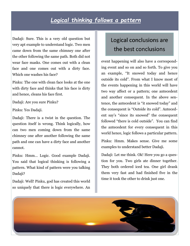## *Logical thinking follows a pattern*

Dadaji: Sure. This is a very old question but very apt example to understand logic. Two men came down from the same chimney one after the other following the same path. Both did not wear face masks. One comes out with a clean face and one comes out with a dirty face. Which one washes his face?

Pinku: The one with clean face looks at the one with dirty face and thinks that his face is dirty and hence, cleans his face first.

Dadaji: Are you sure Pinku?

Pinku: Yes Dadaji.

Dadaji: There is a twist in the question. The question itself is wrong. Think logically, how can two men coming down from the same chimney one after another following the same path and one can have a dirty face and another cannot.

Pinku: Hmm… Logic. Good example Dadaji. You said that logical thinking is following a pattern. What kind of pattern were you talking Dadaji?

Dadaji: Well! Pinku, god has created this world so uniquely that there is logic everywhere. An

# Logical conclusions are the best conclusions

event happening will also have a corresponding event and so on and so forth. To give you an example, "It snowed today and hence outside its cold". From what I know most of the events happening in this world will have two way affect or a pattern; one antecedent and another consequent. In the above sentence, the antecedent is "it snowed today" and the consequent is "Outside its cold". Antecedent say's "since its snowed" the consequent followed "there is cold outside". You can find the antecedent for every consequent in this world hence, logic follows a particular pattern.

Pinku: Hmm. Makes sense. Give me some examples to understand better Dadaji.

Dadaji: Let me think. Ok! Here you go a question for you. Two girls ate dinner together. They both ordered iced tea. One girl drank them very fast and had finished five in the time it took the other to drink just one.

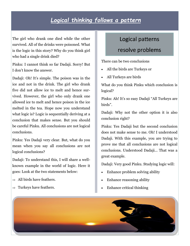# *Logical thinking follows a pattern*

The girl who drank one died while the other survived. All of the drinks were poisoned. What is the logic in this story? Why do you think girl who had a single drink died?

Pinku: I cannot think so far Dadaji. Sorry! But I don't know the answer.

Dadaji: Oh! It's simple. The poison was in the ice and not in the drink. The girl who drank five did not allow ice to melt and hence survived. However, the girl who only drank one allowed ice to melt and hence poison in the ice melted in the tea. Hope now you understand what logic is? Logic is sequentially deriving at a conclusion that makes sense. But you should be careful Pinku. All conclusions are not logical conclusions.

Pinku: Yes Dadaji very clear. But, what do you mean when you say all conclusions are not logical conclusions?

Dadaji: To understand this, I will share a wellknown example in the world of logic. Here it goes: Look at the two statements below:

- $\Rightarrow$  All birds have feathers.
- $\Rightarrow$  Turkeys have feathers.

### Logical patterns

### resolve problems

There can be two conclusions

- All the birds are Turkeys or
- All Turkeys are birds

What do you think Pinku which conclusion is logical?

Pinku: Ah! It's so easy Dadaji "All Turkeys are birds".

Dadaji: Why not the other option it is also conclusion right?

Pinku: Yes Dadaji but the second conclusion does not make sense to me. Oh! I understood Dadaji. With this example, you are trying to prove me that all conclusions are not logical conclusions. Understood Dadaji... That was a great example.

Dadaji: Very good Pinku. Studying logic will:

- Enhance problem solving ability
- Enhance reasoning ability
- Enhance critical thinking

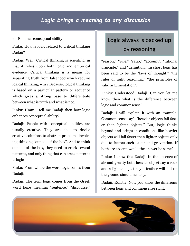### *Logic brings a meaning to any discussion*

Enhance conceptual ability

Pinku: How is logic related to critical thinking Dadaji?

Dadaji: Well! Critical thinking is scientific, in that it relies upon both logic and empirical evidence. Critical thinking is a means for separating truth from falsehood which require logical thinking; why? Because, logical thinking is based on a particular pattern or sequence which gives a strong base to differentiate between what is truth and what is not.

Pinku: Hmm… tell me Dadaji then how logic enhances conceptual ability?

Dadaji: People with conceptual abilities are usually creative. They are able to devise creative solutions to abstract problems involving thinking "outside of the box". And to think outside of the box, they need to crack several patterns, and only thing that can crack patterns is logic.

Pinku: From where the word logic comes from Dadaji:

Dadaji: The term logic comes from the Greek word logos meaning "sentence," "discourse,"

# Logic always is backed up by reasoning

"reason," "rule," "ratio," "account", "rational principle," and "definition." In short logic has been said to be the "laws of thought," "the rules of right reasoning," "the principles of valid argumentation".

Pinku: Understood Dadaji. Can you let me know then what is the difference between logic and commonsense?

Dadaji: I will explain it with an example. Common sense say's "heavier objects fall faster than lighter objects." But, logic thinks beyond and brings in conditions like heavier objects will fall faster than lighter objects only due to factors such as air and gravitation. If both are absent, would the answer be same?

Pinku: I know this Dadaji. In the absence of air and gravity both heavier object say a rock and a lighter object say a feather will fall on the ground simultaneously.

Dadaji: Exactly. Now you know the difference between logic and commonsense right.

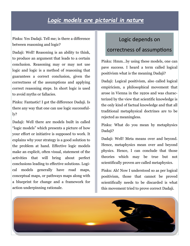## *Logic models are pictorial in nature*

Pinku: Yes Dadaji. Tell me; is there a difference between reasoning and logic?

Dadaji: Well! Reasoning is an ability to think, to produce an argument that leads to a certain conclusion. Reasoning may or may not use logic and logic is a method of reasoning that guarantees a correct conclusion, given the correctness of the assumptions and applying correct reasoning steps. In short logic is used to avoid myths or fallacies.

Pinku: Fantastic! I got the difference Dadaji. Is there any way that one can use logic successfully?

Dadaji: Well there are models built in called "logic models" which presents a picture of how your effort or initiative is supposed to work. It explains why your strategy is a good solution to the problem at hand. Effective logic models make an explicit, often visual, statement of the activities that will bring about perfect conclusions leading to effective solutions. Logical models generally have road maps, conceptual maps, or pathways maps along with a blueprint for change and a framework for action underpinning rationale.

#### Logic depends on

#### correctness of assumptions

Pinku: Hmm…by using these models, one can pave success. I heard a term called logical positivism what is the meaning Dadaji?

Dadaji: Logical positivism, also called logical empiricism, a philosophical movement that arose in Vienna in the 1920s and was characterized by the view that scientific knowledge is the only kind of factual knowledge and that all traditional metaphysical doctrines are to be rejected as meaningless.

Pinku: What do you mean by metaphysics Dadaji?

Dadaji: Well! Meta means over and beyond. Hence, metaphysics mean over and beyond physics. Hence, I can conclude that those theories which may be true but not scientifically proven are called metaphysics.

Pinku: Ah! Now I understood so as per logical positivism, those that cannot be proved scientifically needs to be discarded is what this movement tried to prove correct Dadaji.

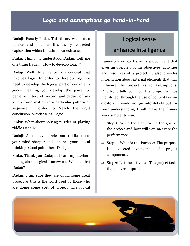# *Logic and assumptions go hand-in-hand*

Dadaji: Exactly Pinku. This theory was not so famous and failed as this theory restricted exploration which is basis of our existence.

Pinku: Hmm… I understood Dadaji. Tell me one thing Dadaji: "How to develop logic?"

Dadaji: Well! Intelligence is a concept that involves logic. In order to develop logic we need to develop the logical part of our intelligence meaning you develop the power to perceive, interpret, record, and deduct of any kind of information in a particular pattern or sequence in order to "reach the right conclusion" which we call logic.

Pinku: What about solving puzzles or playing riddle Dadaji?

Dadaji: Absolutely, puzzles and riddles make your mind sharper and enhance your logical thinking. Good point there Dadaji.

Pinku: Thank you Dadaji. I heard my teachers talking about logical framework. What is that Dadaji?

Dadaji: I am sure they are doing some great project as this is the word used by those who are doing some sort of project. The logical

# Logical sense enhance Intelligence

framework or log frame is a document that gives an overview of the objectives, activities and resources of a project. It also provides information about external elements that may influence the project, called assumptions. Finally, it tells you how the project will be monitored, through the use of contents or indicators. I would not go into details but for your understanding I will make the framework simpler to you:

- $\Rightarrow$  Step 1: Write the Goal: Write the goal of the project and how will you measure the performance.
- $\Rightarrow$  Step 2: What is the Purpose: The purpose is expected outcome of project components.
- $\Rightarrow$  Step 3: List the activities: The project tasks that deliver outputs.

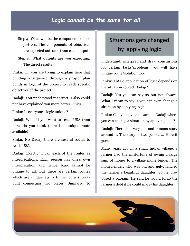## *Logic cannot be the same for all*

Step 4: What will be the components of objectives: The components of objectives are expected outcome from each output

Step 5: What outputs are you expecting: The direct results

Pinku: Oh you are trying to explain here that building a sequence through a project plan builds in logic of the project to reach specific objectives of the project.

Dadaji: You understood it correct. I also could not have explained you more better Pinku.

Pinku: Is everyone's logic unique?

Dadaji: Well! If you want to reach USA from here, do you think there is a unique route available?

Pinku: No Dadaji there are several routes to reach USA.

Dadaji: Exactly, I call each of the routes as interpretations. Each person has one's own interpretation and hence, logic cannot be unique to all. But there are certain routes which are unique e.g. a tunnel or a subway built connecting two places. Similarly, to

# Situations gets changed by applying logic

understand, interpret and draw conclusions for certain tasks/problems, you will have unique route/solution too.

Pinku: Ah! So application of logic depends on the situation correct Dadaji?

Dadaji: Yes you can say so but not always. What I mean to say is you can even change a situation by applying logic.

Pinku: Can you give an example Dadaji where you can change a situation by applying logic?

Dadaji: There is a very old and famous story around it. The story of two pebbles… Here it goes:

Many years ago in a small Indian village, a farmer had the misfortune of owing a large sum of money to a village moneylender. The moneylender, who was old and ugly, fancied the farmer's beautiful daughter. So he proposed a bargain. He said he would forgo the farmer's debt if he could marry his daughter.

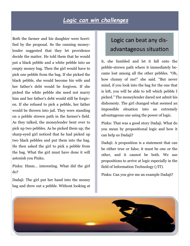## *Logic can win challenges*

Both the farmer and his daughter were horrified by the proposal. So the cunning moneylender suggested that they let providence decide the matter. He told them that he would put a black pebble and a white pebble into an empty money bag. Then the girl would have to pick one pebble from the bag. If she picked the black pebble, she would become his wife and her father's debt would be forgiven. If she picked the white pebble she need not marry him and her father's debt would still be forgiven. If she refused to pick a pebble, her father would be thrown into jail. They were standing on a pebble strewn path in the farmer's field. As they talked, the moneylender bent over to pick up two pebbles. As he picked them up, the sharp-eyed girl noticed that he had picked up two black pebbles and put them into the bag. He then asked the girl to pick a pebble from the bag. What the girl must have done it will astonish you Pinku.

Pinku: Hmm… interesting. What did the girl do?

Dadaji: The girl put her hand into the money bag and drew out a pebble. Without looking at

# Logic can beat any disadvantageous situation

it, she fumbled and let it fall onto the pebble-strewn path where it immediately became lost among all the other pebbles. "Oh, how clumsy of me!" she said. "But never mind, if you look into the bag for the one that is left, you will be able to tell which pebble I picked." The moneylender dared not admit his dishonesty. The girl changed what seemed an impossible situation into an extremely advantageous one using the power of logic.

Pinku: That was a good story Dadaji. What do you mean by propositional logic and how it can help us Dadaji?

Dadaji: A proposition is a statement that can be either true or false; it must be one or the other, and it cannot be both. We use propositions to arrive at logic especially in the field of Information Technology (/IT).

Pinku: Can you give me an example Dadaji?

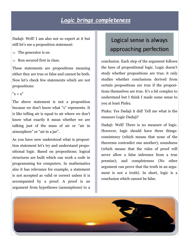# *Logic brings completeness*

Dadaji: Well! I am also not so expert at it but still let's see a proposition statement:

- $\Rightarrow$  The generator is on
- $\Rightarrow$  Ron secured first in class.

These statements are propositions meaning either they are true or false and cannot be both. Now let's check few statements which are not propositions:

 $"x = x"$ 

The above statement is not a proposition because we don't know what "x" represents. It is like telling air is equal to air where we don't know what exactly it mean whether we are talking just of the mass of air or "air in atmosphere" or "air in a jar".

As you have now understood what is proposition statement let's try and understand propositional logic. Based on propositions; logical structures are built which can work a code in programming for computers. In mathematics also it has relevance for example, a statement is not accepted as valid or correct unless it is accompanied by a proof. A proof is an argument from hypotheses (assumptions) to a

# Logical sense is always approaching perfection

conclusion. Each step of the argument follows the laws of propositional logic. Logic doesn't study whether propositions are true; it only studies whether conclusions derived from certain propositions are true if the propositions themselves are true. It's a bit complex to understand but I think I made some sense to you at least Pinku.

Pinku: Yes Dadaji it did! Tell me what is the measure Logic Dadaji?

Dadaji: Well! There is no measure of logic. However, logic should have three things: consistency (which means that none of the theorems contradict one another); soundness (which means that the rules of proof will never allow a false inference from a true premise); and completeness (No other argument can prove that the truth in an argument is not a truth). In short, logic is a conclusion which cannot be false.